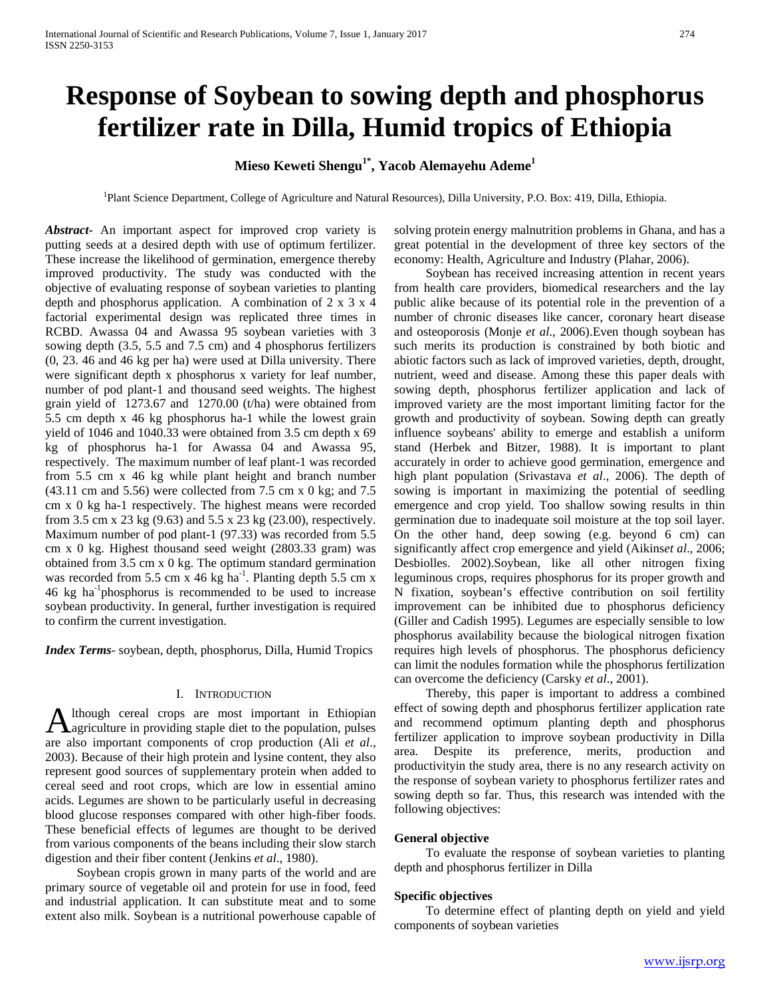# **Response of Soybean to sowing depth and phosphorus fertilizer rate in Dilla, Humid tropics of Ethiopia**

# **Mieso Keweti Shengu1\*, Yacob Alemayehu Ademe1**

<sup>1</sup>Plant Science Department, College of Agriculture and Natural Resources), Dilla University, P.O. Box: 419, Dilla, Ethiopia.

*Abstract***-** An important aspect for improved crop variety is putting seeds at a desired depth with use of optimum fertilizer. These increase the likelihood of germination, emergence thereby improved productivity. The study was conducted with the objective of evaluating response of soybean varieties to planting depth and phosphorus application. A combination of 2 x 3 x 4 factorial experimental design was replicated three times in RCBD. Awassa 04 and Awassa 95 soybean varieties with 3 sowing depth (3.5, 5.5 and 7.5 cm) and 4 phosphorus fertilizers (0, 23. 46 and 46 kg per ha) were used at Dilla university. There were significant depth x phosphorus x variety for leaf number, number of pod plant-1 and thousand seed weights. The highest grain yield of 1273.67 and 1270.00 (t/ha) were obtained from 5.5 cm depth x 46 kg phosphorus ha-1 while the lowest grain yield of 1046 and 1040.33 were obtained from 3.5 cm depth x 69 kg of phosphorus ha-1 for Awassa 04 and Awassa 95, respectively. The maximum number of leaf plant-1 was recorded from 5.5 cm x 46 kg while plant height and branch number (43.11 cm and 5.56) were collected from 7.5 cm x 0 kg; and 7.5 cm x 0 kg ha-1 respectively. The highest means were recorded from 3.5 cm x 23 kg (9.63) and 5.5 x 23 kg (23.00), respectively. Maximum number of pod plant-1 (97.33) was recorded from 5.5 cm x 0 kg. Highest thousand seed weight (2803.33 gram) was obtained from 3.5 cm x 0 kg. The optimum standard germination was recorded from 5.5 cm x 46 kg ha<sup>-1</sup>. Planting depth 5.5 cm x 46 kg ha-1 phosphorus is recommended to be used to increase soybean productivity. In general, further investigation is required to confirm the current investigation.

*Index Terms*- soybean, depth, phosphorus, Dilla, Humid Tropics

#### I. INTRODUCTION

lthough cereal crops are most important in Ethiopian Although cereal crops are most important in Ethiopian agriculture in providing staple diet to the population, pulses are also important components of crop production (Ali *et al*., 2003). Because of their high protein and lysine content, they also represent good sources of supplementary protein when added to cereal seed and root crops, which are low in essential amino acids. Legumes are shown to be particularly useful in decreasing blood glucose responses compared with other high-fiber foods. These beneficial effects of legumes are thought to be derived from various components of the beans including their slow starch digestion and their fiber content (Jenkins *et al*., 1980).

 Soybean cropis grown in many parts of the world and are primary source of vegetable oil and protein for use in food, feed and industrial application. It can substitute meat and to some extent also milk. Soybean is a nutritional powerhouse capable of solving protein energy malnutrition problems in Ghana, and has a great potential in the development of three key sectors of the economy: Health, Agriculture and Industry (Plahar, 2006).

 Soybean has received increasing attention in recent years from health care providers, biomedical researchers and the lay public alike because of its potential role in the prevention of a number of chronic diseases like cancer, coronary heart disease and osteoporosis (Monje *et al*., 2006).Even though soybean has such merits its production is constrained by both biotic and abiotic factors such as lack of improved varieties, depth, drought, nutrient, weed and disease. Among these this paper deals with sowing depth, phosphorus fertilizer application and lack of improved variety are the most important limiting factor for the growth and productivity of soybean. Sowing depth can greatly influence soybeans' ability to emerge and establish a uniform stand (Herbek and Bitzer, 1988). It is important to plant accurately in order to achieve good germination, emergence and high plant population (Srivastava *et al*., 2006). The depth of sowing is important in maximizing the potential of seedling emergence and crop yield. Too shallow sowing results in thin germination due to inadequate soil moisture at the top soil layer. On the other hand, deep sowing (e.g. beyond 6 cm) can significantly affect crop emergence and yield (Aikins*et al*., 2006; Desbiolles. 2002).Soybean, like all other nitrogen fixing leguminous crops, requires phosphorus for its proper growth and N fixation, soybean's effective contribution on soil fertility improvement can be inhibited due to phosphorus deficiency (Giller and Cadish 1995). Legumes are especially sensible to low phosphorus availability because the biological nitrogen fixation requires high levels of phosphorus. The phosphorus deficiency can limit the nodules formation while the phosphorus fertilization can overcome the deficiency (Carsky *et al*., 2001).

 Thereby, this paper is important to address a combined effect of sowing depth and phosphorus fertilizer application rate and recommend optimum planting depth and phosphorus fertilizer application to improve soybean productivity in Dilla area. Despite its preference, merits, production and productivityin the study area, there is no any research activity on the response of soybean variety to phosphorus fertilizer rates and sowing depth so far. Thus, this research was intended with the following objectives:

#### **General objective**

 To evaluate the response of soybean varieties to planting depth and phosphorus fertilizer in Dilla

#### **Specific objectives**

 To determine effect of planting depth on yield and yield components of soybean varieties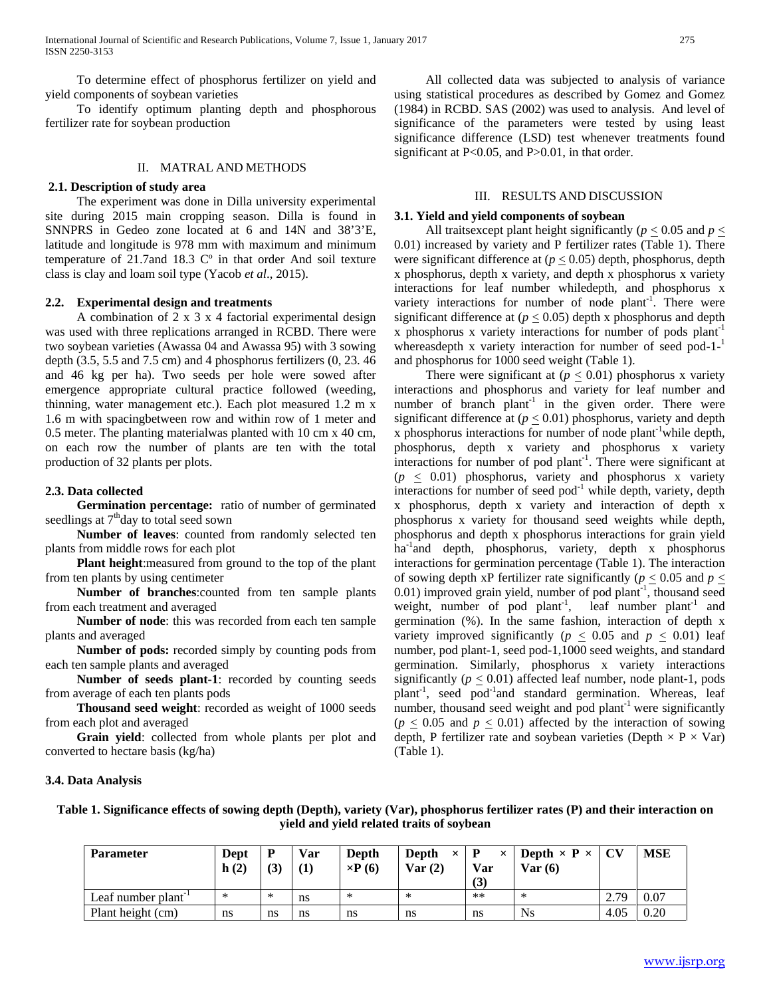To determine effect of phosphorus fertilizer on yield and yield components of soybean varieties

 To identify optimum planting depth and phosphorous fertilizer rate for soybean production

#### II. MATRAL AND METHODS

## **2.1. Description of study area**

 The experiment was done in Dilla university experimental site during 2015 main cropping season. Dilla is found in SNNPRS in Gedeo zone located at 6 and 14N and 38'3'E, latitude and longitude is 978 mm with maximum and minimum temperature of 21.7and 18.3 Cº in that order And soil texture class is clay and loam soil type (Yacob *et al*., 2015).

## **2.2. Experimental design and treatments**

 A combination of 2 x 3 x 4 factorial experimental design was used with three replications arranged in RCBD. There were two soybean varieties (Awassa 04 and Awassa 95) with 3 sowing depth (3.5, 5.5 and 7.5 cm) and 4 phosphorus fertilizers (0, 23. 46 and 46 kg per ha). Two seeds per hole were sowed after emergence appropriate cultural practice followed (weeding, thinning, water management etc.). Each plot measured 1.2 m x 1.6 m with spacingbetween row and within row of 1 meter and 0.5 meter. The planting materialwas planted with 10 cm x 40 cm, on each row the number of plants are ten with the total production of 32 plants per plots.

# **2.3. Data collected**

 **Germination percentage:** ratio of number of germinated seedlings at  $7<sup>th</sup>$ day to total seed sown

 **Number of leaves**: counted from randomly selected ten plants from middle rows for each plot

 **Plant height**:measured from ground to the top of the plant from ten plants by using centimeter

 **Number of branches**:counted from ten sample plants from each treatment and averaged

 **Number of node**: this was recorded from each ten sample plants and averaged

 **Number of pods:** recorded simply by counting pods from each ten sample plants and averaged

 **Number of seeds plant-1**: recorded by counting seeds from average of each ten plants pods

 **Thousand seed weight**: recorded as weight of 1000 seeds from each plot and averaged

 **Grain yield**: collected from whole plants per plot and converted to hectare basis (kg/ha)

#### **3.4. Data Analysis**

 All collected data was subjected to analysis of variance using statistical procedures as described by Gomez and Gomez (1984) in RCBD. SAS (2002) was used to analysis. And level of significance of the parameters were tested by using least significance difference (LSD) test whenever treatments found significant at  $P<0.05$ , and  $P>0.01$ , in that order.

#### III. RESULTS AND DISCUSSION

#### **3.1. Yield and yield components of soybean**

All traits except plant height significantly ( $p \le 0.05$  and  $p \le$ 0.01) increased by variety and P fertilizer rates (Table 1). There were significant difference at  $(p < 0.05)$  depth, phosphorus, depth x phosphorus, depth x variety, and depth x phosphorus x variety interactions for leaf number whiledepth, and phosphorus x variety interactions for number of node plant<sup>-1</sup>. There were significant difference at ( $p \leq 0.05$ ) depth x phosphorus and depth x phosphorus x variety interactions for number of pods  $plant^{-1}$ whereasdepth x variety interaction for number of seed pod-1-1 and phosphorus for 1000 seed weight (Table 1).

There were significant at  $(p < 0.01)$  phosphorus x variety interactions and phosphorus and variety for leaf number and number of branch plant<sup>-1</sup> in the given order. There were significant difference at  $(p \leq 0.01)$  phosphorus, variety and depth x phosphorus interactions for number of node plant<sup>-1</sup> while depth, phosphorus, depth x variety and phosphorus x variety interactions for number of pod  $plant<sup>-1</sup>$ . There were significant at  $(p \leq 0.01)$  phosphorus, variety and phosphorus x variety interactions for number of seed  $pod^{-1}$  while depth, variety, depth x phosphorus, depth x variety and interaction of depth x phosphorus x variety for thousand seed weights while depth, phosphorus and depth x phosphorus interactions for grain yield ha-1 and depth, phosphorus, variety, depth x phosphorus interactions for germination percentage (Table 1). The interaction of sowing depth xP fertilizer rate significantly ( $p \le 0.05$  and  $p \le$ 0.01) improved grain yield, number of pod plant<sup>-1</sup>, thousand seed weight, number of pod plant<sup>-1</sup>, leaf number plant<sup>-1</sup> and germination (%). In the same fashion, interaction of depth x variety improved significantly ( $p \leq 0.05$  and  $p \leq 0.01$ ) leaf number, pod plant-1, seed pod-1,1000 seed weights, and standard germination. Similarly, phosphorus x variety interactions significantly ( $p \leq 0.01$ ) affected leaf number, node plant-1, pods plant<sup>-1</sup>, seed pod<sup>-1</sup>and standard germination. Whereas, leaf number, thousand seed weight and pod plant<sup>-1</sup> were significantly  $(p < 0.05$  and  $p < 0.01$ ) affected by the interaction of sowing depth, P fertilizer rate and soybean varieties (Depth  $\times$  P  $\times$  Var) (Table 1).

| Table 1. Significance effects of sowing depth (Depth), variety (Var), phosphorus fertilizer rates (P) and their interaction on |
|--------------------------------------------------------------------------------------------------------------------------------|
| yield and yield related traits of soybean                                                                                      |

| <b>Parameter</b>                | Dept<br>h(2) | D<br>(3) | Var<br>(1) | Depth<br>$\times$ P(6) | Depth<br>Var(2) | $\times$   P<br>$\times$<br>Var<br>(3) | Depth $\times$ P $\times$   CV<br>Var(6) |      | <b>MSE</b> |
|---------------------------------|--------------|----------|------------|------------------------|-----------------|----------------------------------------|------------------------------------------|------|------------|
| Leaf number plant <sup>-1</sup> | ∗            | ∗        | ns         | ∗                      | ∗               | $**$                                   | ∗                                        | 2.79 | 0.07       |
| Plant height (cm)               | ns           | ns       | ns         | ns                     | ns              | ns                                     | Ns                                       | 4.05 | 0.20       |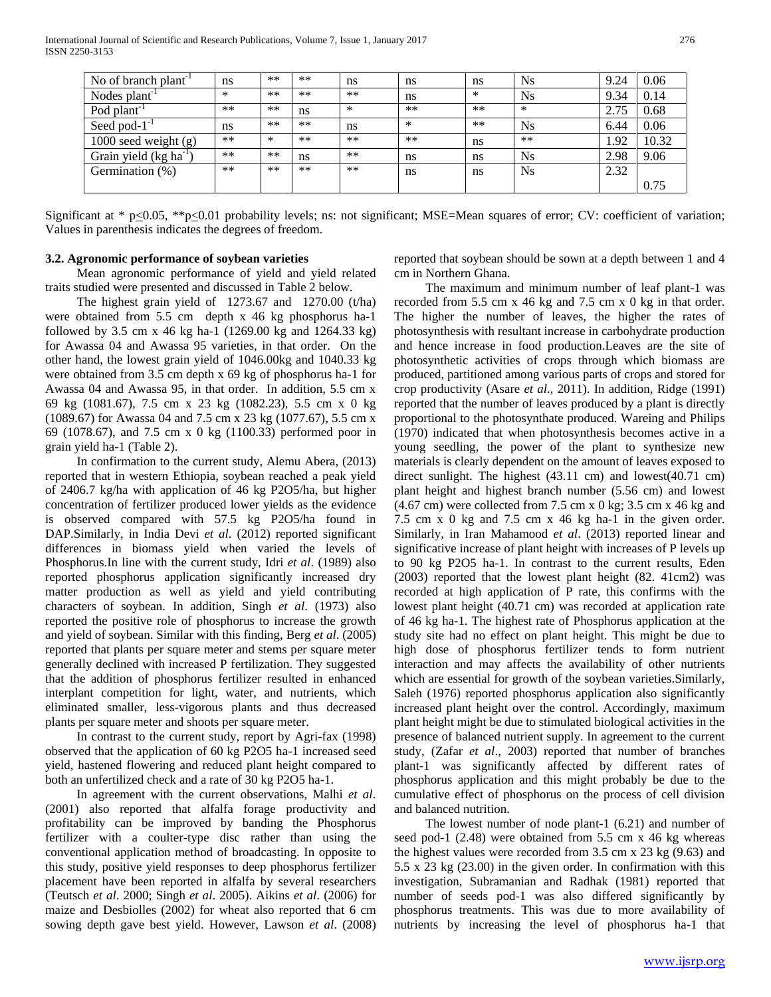| No of branch plant               | ns     | $***$  | $***$ | ns     | ns     | ns     | <b>Ns</b> | 9.24 | 0.06  |
|----------------------------------|--------|--------|-------|--------|--------|--------|-----------|------|-------|
| Nodes $plan-1$                   | $\ast$ | $***$  | $***$ | $***$  | ns     | $\ast$ | <b>Ns</b> | 9.34 | 0.14  |
| Pod plant <sup>-1</sup>          | $***$  | $***$  | ns    | $\ast$ | $**$   | $**$   | $\ast$    | 2.75 | 0.68  |
| Seed pod- $1^{-1}$               | ns     | $***$  | $***$ | ns     | $\ast$ | $***$  | Ns        | 6.44 | 0.06  |
| 1000 seed weight (g)             | $***$  | $\ast$ | $***$ | $***$  | $**$   | ns     | $**$      | 1.92 | 10.32 |
| Grain yield (kg ha <sup>-1</sup> | $***$  | $***$  | ns    | $***$  | ns     | ns     | Ns        | 2.98 | 9.06  |
| Germination (%)                  | $***$  | $***$  | $***$ | $***$  | ns     | ns     | <b>Ns</b> | 2.32 |       |
|                                  |        |        |       |        |        |        |           |      | 0.75  |

Significant at \*  $p \le 0.05$ , \*\* $p \le 0.01$  probability levels; ns: not significant; MSE=Mean squares of error; CV: coefficient of variation; Values in parenthesis indicates the degrees of freedom.

## **3.2. Agronomic performance of soybean varieties**

 Mean agronomic performance of yield and yield related traits studied were presented and discussed in Table 2 below.

 The highest grain yield of 1273.67 and 1270.00 (t/ha) were obtained from 5.5 cm depth x 46 kg phosphorus ha-1 followed by 3.5 cm x 46 kg ha-1 (1269.00 kg and 1264.33 kg) for Awassa 04 and Awassa 95 varieties, in that order. On the other hand, the lowest grain yield of 1046.00kg and 1040.33 kg were obtained from 3.5 cm depth x 69 kg of phosphorus ha-1 for Awassa 04 and Awassa 95, in that order. In addition, 5.5 cm x 69 kg (1081.67), 7.5 cm x 23 kg (1082.23), 5.5 cm x 0 kg (1089.67) for Awassa 04 and 7.5 cm x 23 kg (1077.67), 5.5 cm x 69 (1078.67), and 7.5 cm x 0 kg (1100.33) performed poor in grain yield ha-1 (Table 2).

 In confirmation to the current study, Alemu Abera, (2013) reported that in western Ethiopia, soybean reached a peak yield of 2406.7 kg/ha with application of 46 kg P2O5/ha, but higher concentration of fertilizer produced lower yields as the evidence is observed compared with 57.5 kg P2O5/ha found in DAP.Similarly, in India Devi *et al*. (2012) reported significant differences in biomass yield when varied the levels of Phosphorus.In line with the current study, Idri *et al*. (1989) also reported phosphorus application significantly increased dry matter production as well as yield and yield contributing characters of soybean. In addition, Singh *et al*. (1973) also reported the positive role of phosphorus to increase the growth and yield of soybean. Similar with this finding, Berg *et al*. (2005) reported that plants per square meter and stems per square meter generally declined with increased P fertilization. They suggested that the addition of phosphorus fertilizer resulted in enhanced interplant competition for light, water, and nutrients, which eliminated smaller, less-vigorous plants and thus decreased plants per square meter and shoots per square meter.

 In contrast to the current study, report by Agri-fax (1998) observed that the application of 60 kg P2O5 ha-1 increased seed yield, hastened flowering and reduced plant height compared to both an unfertilized check and a rate of 30 kg P2O5 ha-1.

 In agreement with the current observations, Malhi *et al*. (2001) also reported that alfalfa forage productivity and profitability can be improved by banding the Phosphorus fertilizer with a coulter-type disc rather than using the conventional application method of broadcasting. In opposite to this study, positive yield responses to deep phosphorus fertilizer placement have been reported in alfalfa by several researchers (Teutsch *et al*. 2000; Singh *et al*. 2005). Aikins *et al*. (2006) for maize and Desbiolles (2002) for wheat also reported that 6 cm sowing depth gave best yield. However, Lawson *et al*. (2008)

reported that soybean should be sown at a depth between 1 and 4 cm in Northern Ghana.

 The maximum and minimum number of leaf plant-1 was recorded from 5.5 cm x 46 kg and 7.5 cm x 0 kg in that order. The higher the number of leaves, the higher the rates of photosynthesis with resultant increase in carbohydrate production and hence increase in food production.Leaves are the site of photosynthetic activities of crops through which biomass are produced, partitioned among various parts of crops and stored for crop productivity (Asare *et al*., 2011). In addition, Ridge (1991) reported that the number of leaves produced by a plant is directly proportional to the photosynthate produced. Wareing and Philips (1970) indicated that when photosynthesis becomes active in a young seedling, the power of the plant to synthesize new materials is clearly dependent on the amount of leaves exposed to direct sunlight. The highest (43.11 cm) and lowest(40.71 cm) plant height and highest branch number (5.56 cm) and lowest  $(4.67 \text{ cm})$  were collected from 7.5 cm x 0 kg; 3.5 cm x 46 kg and 7.5 cm x 0 kg and 7.5 cm x 46 kg ha-1 in the given order. Similarly, in Iran Mahamood *et al*. (2013) reported linear and significative increase of plant height with increases of P levels up to 90 kg P2O5 ha-1. In contrast to the current results, Eden (2003) reported that the lowest plant height (82. 41cm2) was recorded at high application of P rate, this confirms with the lowest plant height (40.71 cm) was recorded at application rate of 46 kg ha-1. The highest rate of Phosphorus application at the study site had no effect on plant height. This might be due to high dose of phosphorus fertilizer tends to form nutrient interaction and may affects the availability of other nutrients which are essential for growth of the soybean varieties.Similarly, Saleh (1976) reported phosphorus application also significantly increased plant height over the control. Accordingly, maximum plant height might be due to stimulated biological activities in the presence of balanced nutrient supply. In agreement to the current study, (Zafar *et al*., 2003) reported that number of branches plant-1 was significantly affected by different rates of phosphorus application and this might probably be due to the cumulative effect of phosphorus on the process of cell division and balanced nutrition.

 The lowest number of node plant-1 (6.21) and number of seed pod-1 (2.48) were obtained from 5.5 cm x 46 kg whereas the highest values were recorded from 3.5 cm x 23 kg (9.63) and 5.5 x 23 kg (23.00) in the given order. In confirmation with this investigation, Subramanian and Radhak (1981) reported that number of seeds pod-1 was also differed significantly by phosphorus treatments. This was due to more availability of nutrients by increasing the level of phosphorus ha-1 that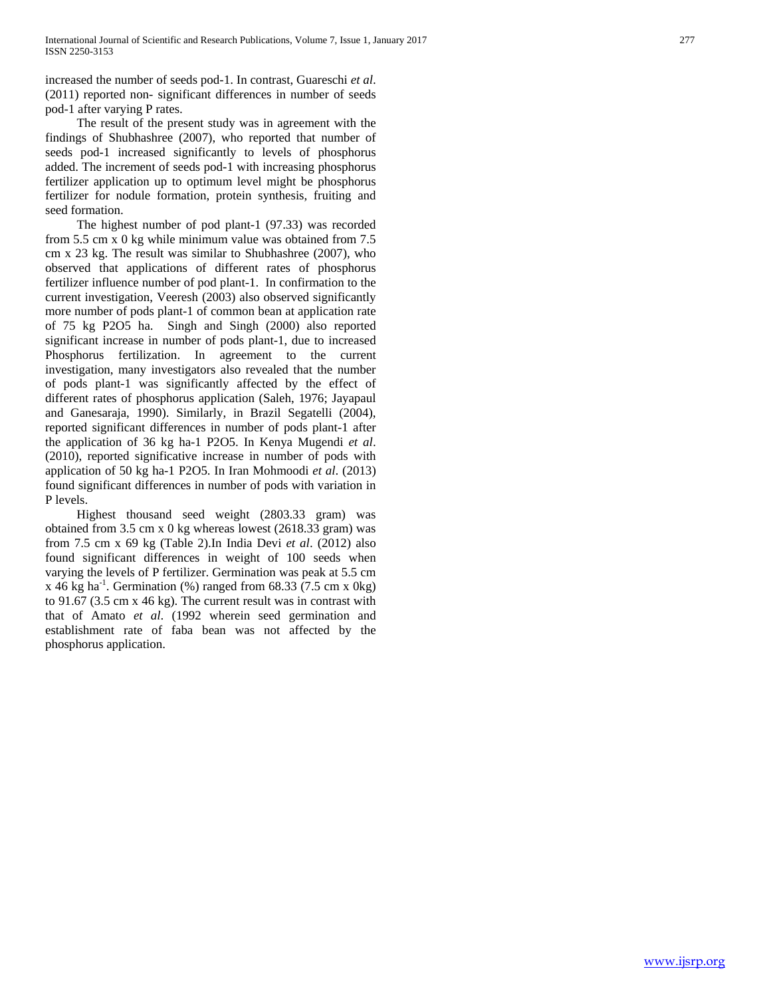increased the number of seeds pod-1. In contrast, Guareschi *et al*. (2011) reported non- significant differences in number of seeds pod-1 after varying P rates.

 The result of the present study was in agreement with the findings of Shubhashree (2007), who reported that number of seeds pod-1 increased significantly to levels of phosphorus added. The increment of seeds pod-1 with increasing phosphorus fertilizer application up to optimum level might be phosphorus fertilizer for nodule formation, protein synthesis, fruiting and seed formation.

 The highest number of pod plant-1 (97.33) was recorded from 5.5 cm x 0 kg while minimum value was obtained from 7.5 cm x 23 kg. The result was similar to Shubhashree (2007), who observed that applications of different rates of phosphorus fertilizer influence number of pod plant-1. In confirmation to the current investigation, Veeresh (2003) also observed significantly more number of pods plant-1 of common bean at application rate of 75 kg P2O5 ha. Singh and Singh (2000) also reported significant increase in number of pods plant-1, due to increased Phosphorus fertilization. In agreement to the current investigation, many investigators also revealed that the number of pods plant-1 was significantly affected by the effect of different rates of phosphorus application (Saleh, 1976; Jayapaul and Ganesaraja, 1990). Similarly, in Brazil Segatelli (2004), reported significant differences in number of pods plant-1 after the application of 36 kg ha-1 P2O5. In Kenya Mugendi *et al*. (2010), reported significative increase in number of pods with application of 50 kg ha-1 P2O5. In Iran Mohmoodi *et al*. (2013) found significant differences in number of pods with variation in P levels.

 Highest thousand seed weight (2803.33 gram) was obtained from 3.5 cm x 0 kg whereas lowest (2618.33 gram) was from 7.5 cm x 69 kg (Table 2).In India Devi *et al*. (2012) also found significant differences in weight of 100 seeds when varying the levels of P fertilizer. Germination was peak at 5.5 cm  $x$  46 kg ha<sup>-1</sup>. Germination (%) ranged from 68.33 (7.5 cm x 0kg) to 91.67 (3.5 cm x 46 kg). The current result was in contrast with that of Amato *et al*. (1992 wherein seed germination and establishment rate of faba bean was not affected by the phosphorus application.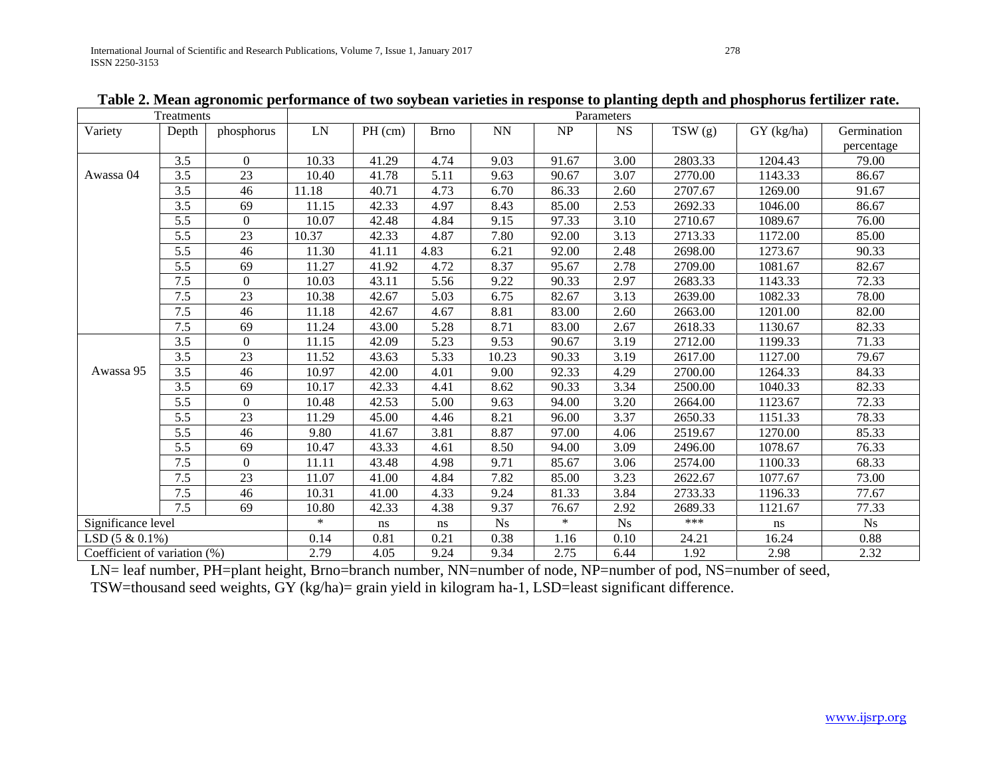| Treatments                   |                  |                  |            |         |             |           |                                   | Parameters  |         |                |             |
|------------------------------|------------------|------------------|------------|---------|-------------|-----------|-----------------------------------|-------------|---------|----------------|-------------|
| Variety                      | Depth            | phosphorus       | ${\rm LN}$ | PH (cm) | <b>Brno</b> | <b>NN</b> | $\ensuremath{\mathbf{NP}}\xspace$ | $_{\rm NS}$ | TSW (g) | GY (kg/ha)     | Germination |
|                              |                  |                  |            |         |             |           |                                   |             |         |                | percentage  |
|                              | 3.5              | $\overline{0}$   | 10.33      | 41.29   | 4.74        | 9.03      | 91.67                             | 3.00        | 2803.33 | 1204.43        | 79.00       |
| Awassa 04                    | 3.5              | 23               | 10.40      | 41.78   | 5.11        | 9.63      | 90.67                             | 3.07        | 2770.00 | 1143.33        | 86.67       |
|                              | 3.5              | 46               | 11.18      | 40.71   | 4.73        | 6.70      | 86.33                             | 2.60        | 2707.67 | 1269.00        | 91.67       |
|                              | 3.5              | 69               | 11.15      | 42.33   | 4.97        | 8.43      | 85.00                             | 2.53        | 2692.33 | 1046.00        | 86.67       |
|                              | $\overline{5.5}$ | $\overline{0}$   | 10.07      | 42.48   | 4.84        | 9.15      | 97.33                             | 3.10        | 2710.67 | 1089.67        | 76.00       |
|                              | 5.5              | 23               | 10.37      | 42.33   | 4.87        | 7.80      | 92.00                             | 3.13        | 2713.33 | 1172.00        | 85.00       |
|                              | 5.5              | 46               | 11.30      | 41.11   | 4.83        | 6.21      | 92.00                             | 2.48        | 2698.00 | 1273.67        | 90.33       |
|                              | 5.5              | 69               | 11.27      | 41.92   | 4.72        | 8.37      | 95.67                             | 2.78        | 2709.00 | 1081.67        | 82.67       |
|                              | 7.5              | $\Omega$         | 10.03      | 43.11   | 5.56        | 9.22      | 90.33                             | 2.97        | 2683.33 | 1143.33        | 72.33       |
|                              | 7.5              | 23               | 10.38      | 42.67   | 5.03        | 6.75      | 82.67                             | 3.13        | 2639.00 | 1082.33        | 78.00       |
|                              | 7.5              | 46               | 11.18      | 42.67   | 4.67        | 8.81      | 83.00                             | 2.60        | 2663.00 | 1201.00        | 82.00       |
|                              | 7.5              | 69               | 11.24      | 43.00   | 5.28        | 8.71      | 83.00                             | 2.67        | 2618.33 | 1130.67        | 82.33       |
|                              | 3.5              | $\overline{0}$   | 11.15      | 42.09   | 5.23        | 9.53      | 90.67                             | 3.19        | 2712.00 | 1199.33        | 71.33       |
|                              | 3.5              | $\overline{23}$  | 11.52      | 43.63   | 5.33        | 10.23     | 90.33                             | 3.19        | 2617.00 | 1127.00        | 79.67       |
| Awassa 95                    | 3.5              | 46               | 10.97      | 42.00   | 4.01        | 9.00      | 92.33                             | 4.29        | 2700.00 | 1264.33        | 84.33       |
|                              | 3.5              | 69               | 10.17      | 42.33   | 4.41        | 8.62      | 90.33                             | 3.34        | 2500.00 | 1040.33        | 82.33       |
|                              | 5.5              | $\Omega$         | 10.48      | 42.53   | 5.00        | 9.63      | 94.00                             | 3.20        | 2664.00 | 1123.67        | 72.33       |
|                              | 5.5              | 23               | 11.29      | 45.00   | 4.46        | 8.21      | 96.00                             | 3.37        | 2650.33 | 1151.33        | 78.33       |
|                              | 5.5              | 46               | 9.80       | 41.67   | 3.81        | 8.87      | 97.00                             | 4.06        | 2519.67 | 1270.00        | 85.33       |
|                              | 5.5              | 69               | 10.47      | 43.33   | 4.61        | 8.50      | 94.00                             | 3.09        | 2496.00 | 1078.67        | 76.33       |
|                              | 7.5              | $\boldsymbol{0}$ | 11.11      | 43.48   | 4.98        | 9.71      | 85.67                             | 3.06        | 2574.00 | 1100.33        | 68.33       |
|                              | 7.5              | 23               | 11.07      | 41.00   | 4.84        | 7.82      | 85.00                             | 3.23        | 2622.67 | 1077.67        | 73.00       |
|                              | 7.5              | 46               | 10.31      | 41.00   | 4.33        | 9.24      | 81.33                             | 3.84        | 2733.33 | 1196.33        | 77.67       |
|                              | 7.5              | 69               | 10.80      | 42.33   | 4.38        | 9.37      | 76.67                             | 2.92        | 2689.33 | 1121.67        | 77.33       |
| Significance level           |                  | $\ast$           | ns         | ns      | Ns          | $\ast$    | Ns                                | ***         | ns      | N <sub>S</sub> |             |
| $LSD(5 & 0.1\%)$             |                  | 0.14             | 0.81       | 0.21    | 0.38        | 1.16      | 0.10                              | 24.21       | 16.24   | 0.88           |             |
| Coefficient of variation (%) |                  | 2.79             | 4.05       | 9.24    | 9.34        | 2.75      | 6.44                              | 1.92        | 2.98    | 2.32           |             |

|                   | Table 2. Mean agronomic performance of two soybean varieties in response to planting depth and phosphorus fertilizer rate. |
|-------------------|----------------------------------------------------------------------------------------------------------------------------|
| $T$ ao ofissos to | $D$ omomo otomo                                                                                                            |

LN= leaf number, PH=plant height, Brno=branch number, NN=number of node, NP=number of pod, NS=number of seed, TSW=thousand seed weights, GY (kg/ha)= grain yield in kilogram ha-1, LSD=least significant difference.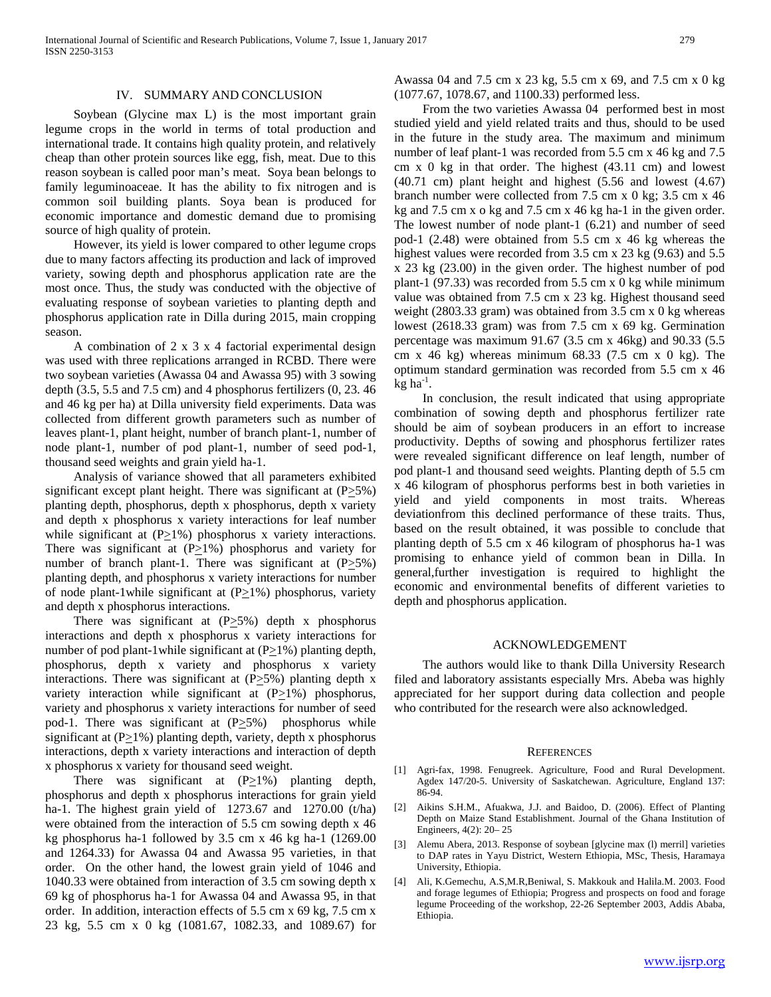#### IV. SUMMARY AND CONCLUSION

 Soybean (Glycine max L) is the most important grain legume crops in the world in terms of total production and international trade. It contains high quality protein, and relatively cheap than other protein sources like egg, fish, meat. Due to this reason soybean is called poor man's meat. Soya bean belongs to family leguminoaceae. It has the ability to fix nitrogen and is common soil building plants. Soya bean is produced for economic importance and domestic demand due to promising source of high quality of protein.

 However, its yield is lower compared to other legume crops due to many factors affecting its production and lack of improved variety, sowing depth and phosphorus application rate are the most once. Thus, the study was conducted with the objective of evaluating response of soybean varieties to planting depth and phosphorus application rate in Dilla during 2015, main cropping season.

 A combination of 2 x 3 x 4 factorial experimental design was used with three replications arranged in RCBD. There were two soybean varieties (Awassa 04 and Awassa 95) with 3 sowing depth (3.5, 5.5 and 7.5 cm) and 4 phosphorus fertilizers (0, 23. 46 and 46 kg per ha) at Dilla university field experiments. Data was collected from different growth parameters such as number of leaves plant-1, plant height, number of branch plant-1, number of node plant-1, number of pod plant-1, number of seed pod-1, thousand seed weights and grain yield ha-1.

 Analysis of variance showed that all parameters exhibited significant except plant height. There was significant at  $(P_25\%)$ planting depth, phosphorus, depth x phosphorus, depth x variety and depth x phosphorus x variety interactions for leaf number while significant at  $(P_21\%)$  phosphorus x variety interactions. There was significant at (P>1%) phosphorus and variety for number of branch plant-1. There was significant at  $(P>5\%)$ planting depth, and phosphorus x variety interactions for number of node plant-1while significant at  $(P_21\%)$  phosphorus, variety and depth x phosphorus interactions.

There was significant at  $(P \geq 5\%)$  depth x phosphorus interactions and depth x phosphorus x variety interactions for number of pod plant-1while significant at  $(P_21\%)$  planting depth, phosphorus, depth x variety and phosphorus x variety interactions. There was significant at  $(P \ge 5\%)$  planting depth x variety interaction while significant at (P>1%) phosphorus, variety and phosphorus x variety interactions for number of seed pod-1. There was significant at (P>5%) phosphorus while significant at  $(P>1\%)$  planting depth, variety, depth x phosphorus interactions, depth x variety interactions and interaction of depth x phosphorus x variety for thousand seed weight.

There was significant at  $(P>1\%)$  planting depth, phosphorus and depth x phosphorus interactions for grain yield ha-1. The highest grain yield of 1273.67 and 1270.00 (t/ha) were obtained from the interaction of 5.5 cm sowing depth x 46 kg phosphorus ha-1 followed by 3.5 cm x 46 kg ha-1 (1269.00 and 1264.33) for Awassa 04 and Awassa 95 varieties, in that order. On the other hand, the lowest grain yield of 1046 and 1040.33 were obtained from interaction of 3.5 cm sowing depth x 69 kg of phosphorus ha-1 for Awassa 04 and Awassa 95, in that order. In addition, interaction effects of 5.5 cm x 69 kg, 7.5 cm x 23 kg, 5.5 cm x 0 kg (1081.67, 1082.33, and 1089.67) for Awassa 04 and 7.5 cm x 23 kg, 5.5 cm x 69, and 7.5 cm x 0 kg (1077.67, 1078.67, and 1100.33) performed less.

 From the two varieties Awassa 04 performed best in most studied yield and yield related traits and thus, should to be used in the future in the study area. The maximum and minimum number of leaf plant-1 was recorded from 5.5 cm x 46 kg and 7.5 cm x 0 kg in that order. The highest (43.11 cm) and lowest (40.71 cm) plant height and highest (5.56 and lowest (4.67) branch number were collected from 7.5 cm x 0 kg; 3.5 cm x 46 kg and 7.5 cm x o kg and 7.5 cm x 46 kg ha-1 in the given order. The lowest number of node plant-1 (6.21) and number of seed pod-1 (2.48) were obtained from 5.5 cm x 46 kg whereas the highest values were recorded from 3.5 cm x 23 kg (9.63) and 5.5 x 23 kg (23.00) in the given order. The highest number of pod plant-1 (97.33) was recorded from 5.5 cm x 0 kg while minimum value was obtained from 7.5 cm x 23 kg. Highest thousand seed weight (2803.33 gram) was obtained from 3.5 cm x 0 kg whereas lowest (2618.33 gram) was from 7.5 cm x 69 kg. Germination percentage was maximum 91.67 (3.5 cm x 46kg) and 90.33 (5.5 cm x 46 kg) whereas minimum  $68.33$  (7.5 cm x 0 kg). The optimum standard germination was recorded from 5.5 cm x 46  $\overline{\mathrm{kg}}$  ha<sup>-1</sup>.

 In conclusion, the result indicated that using appropriate combination of sowing depth and phosphorus fertilizer rate should be aim of soybean producers in an effort to increase productivity. Depths of sowing and phosphorus fertilizer rates were revealed significant difference on leaf length, number of pod plant-1 and thousand seed weights. Planting depth of 5.5 cm x 46 kilogram of phosphorus performs best in both varieties in yield and yield components in most traits. Whereas deviationfrom this declined performance of these traits. Thus, based on the result obtained, it was possible to conclude that planting depth of 5.5 cm x 46 kilogram of phosphorus ha-1 was promising to enhance yield of common bean in Dilla. In general,further investigation is required to highlight the economic and environmental benefits of different varieties to depth and phosphorus application.

#### ACKNOWLEDGEMENT

 The authors would like to thank Dilla University Research filed and laboratory assistants especially Mrs. Abeba was highly appreciated for her support during data collection and people who contributed for the research were also acknowledged.

#### **REFERENCES**

- [1] Agri-fax, 1998. Fenugreek. Agriculture, Food and Rural Development. Agdex 147/20-5. University of Saskatchewan. Agriculture, England 137: 86-94.
- [2] Aikins S.H.M., Afuakwa, J.J. and Baidoo, D. (2006). Effect of Planting Depth on Maize Stand Establishment. Journal of the Ghana Institution of Engineers, 4(2): 20– 25
- [3] Alemu Abera, 2013. Response of soybean [glycine max (l) merril] varieties to DAP rates in Yayu District, Western Ethiopia, MSc, Thesis, Haramaya University, Ethiopia.
- [4] Ali, K.Gemechu, A.S,M.R,Beniwal, S. Makkouk and Halila.M. 2003. Food and forage legumes of Ethiopia; Progress and prospects on food and forage legume Proceeding of the workshop, 22-26 September 2003, Addis Ababa, Ethiopia.